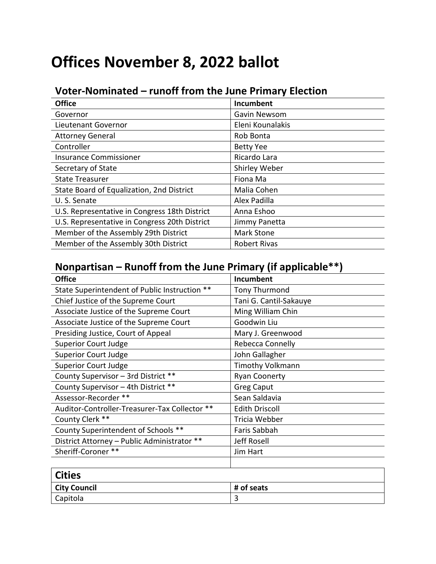## **Offices November 8, 2022 ballot**

## **Voter-Nominated – runoff from the June Primary Election**

| <b>Office</b>                                 | Incumbent           |
|-----------------------------------------------|---------------------|
| Governor                                      | Gavin Newsom        |
| Lieutenant Governor                           | Eleni Kounalakis    |
| <b>Attorney General</b>                       | Rob Bonta           |
| Controller                                    | <b>Betty Yee</b>    |
| <b>Insurance Commissioner</b>                 | Ricardo Lara        |
| Secretary of State                            | Shirley Weber       |
| <b>State Treasurer</b>                        | Fiona Ma            |
| State Board of Equalization, 2nd District     | Malia Cohen         |
| U.S. Senate                                   | Alex Padilla        |
| U.S. Representative in Congress 18th District | Anna Eshoo          |
| U.S. Representative in Congress 20th District | Jimmy Panetta       |
| Member of the Assembly 29th District          | <b>Mark Stone</b>   |
| Member of the Assembly 30th District          | <b>Robert Rivas</b> |

## **Nonpartisan – Runoff from the June Primary (if applicable\*\*)**

| <b>Office</b>                                 | <b>Incumbent</b>        |
|-----------------------------------------------|-------------------------|
| State Superintendent of Public Instruction ** | <b>Tony Thurmond</b>    |
| Chief Justice of the Supreme Court            | Tani G. Cantil-Sakauye  |
| Associate Justice of the Supreme Court        | Ming William Chin       |
| Associate Justice of the Supreme Court        | Goodwin Liu             |
| Presiding Justice, Court of Appeal            | Mary J. Greenwood       |
| <b>Superior Court Judge</b>                   | Rebecca Connelly        |
| <b>Superior Court Judge</b>                   | John Gallagher          |
| <b>Superior Court Judge</b>                   | <b>Timothy Volkmann</b> |
| County Supervisor - 3rd District **           | <b>Ryan Coonerty</b>    |
| County Supervisor - 4th District **           | <b>Greg Caput</b>       |
| Assessor-Recorder **                          | Sean Saldavia           |
| Auditor-Controller-Treasurer-Tax Collector ** | <b>Edith Driscoll</b>   |
| County Clerk **                               | Tricia Webber           |
| County Superintendent of Schools **           | Faris Sabbah            |
| District Attorney - Public Administrator **   | Jeff Rosell             |
| Sheriff-Coroner **                            | Jim Hart                |
|                                               |                         |

| <b>Cities</b>       |            |
|---------------------|------------|
| <b>City Council</b> | # of seats |
| Capitola            | ـ          |

 $\overline{1}$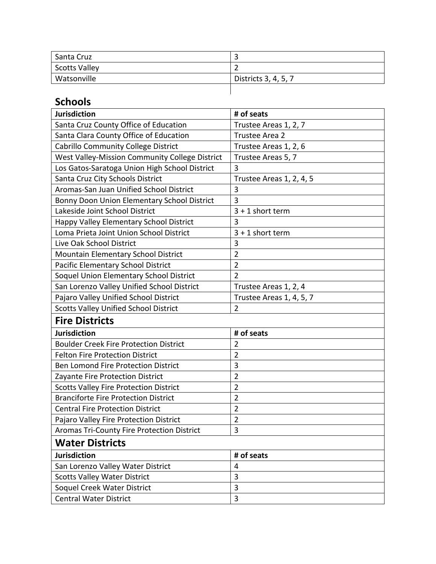| Santa Cruz           |                      |
|----------------------|----------------------|
| <b>Scotts Valley</b> |                      |
| Watsonville          | Districts 3, 4, 5, 7 |
|                      |                      |

## **Schools**

| <b>Jurisdiction</b>                            | # of seats               |
|------------------------------------------------|--------------------------|
| Santa Cruz County Office of Education          | Trustee Areas 1, 2, 7    |
| Santa Clara County Office of Education         | Trustee Area 2           |
| <b>Cabrillo Community College District</b>     | Trustee Areas 1, 2, 6    |
| West Valley-Mission Community College District | Trustee Areas 5, 7       |
| Los Gatos-Saratoga Union High School District  | 3                        |
| Santa Cruz City Schools District               | Trustee Areas 1, 2, 4, 5 |
| Aromas-San Juan Unified School District        | 3                        |
| Bonny Doon Union Elementary School District    | 3                        |
| Lakeside Joint School District                 | $3 + 1$ short term       |
| Happy Valley Elementary School District        | 3                        |
| Loma Prieta Joint Union School District        | $3 + 1$ short term       |
| Live Oak School District                       | 3                        |
| Mountain Elementary School District            | $\overline{2}$           |
| Pacific Elementary School District             | $\overline{2}$           |
| Soquel Union Elementary School District        | $\overline{2}$           |
| San Lorenzo Valley Unified School District     | Trustee Areas 1, 2, 4    |
| Pajaro Valley Unified School District          | Trustee Areas 1, 4, 5, 7 |
| <b>Scotts Valley Unified School District</b>   | $\overline{2}$           |
| <b>Fire Districts</b>                          |                          |
| <b>Jurisdiction</b>                            | # of seats               |
| <b>Boulder Creek Fire Protection District</b>  | $\overline{2}$           |
| <b>Felton Fire Protection District</b>         | $\overline{2}$           |
| Ben Lomond Fire Protection District            | 3                        |
| Zayante Fire Protection District               | $\overline{2}$           |
| <b>Scotts Valley Fire Protection District</b>  | $\overline{2}$           |
| <b>Branciforte Fire Protection District</b>    | $\overline{2}$           |
| <b>Central Fire Protection District</b>        | $\overline{2}$           |
| Pajaro Valley Fire Protection District         | $\overline{2}$           |
| Aromas Tri-County Fire Protection District     | 3                        |
| <b>Water Districts</b>                         |                          |
| <b>Jurisdiction</b>                            | # of seats               |
| San Lorenzo Valley Water District              | 4                        |
| <b>Scotts Valley Water District</b>            | 3                        |
| Soquel Creek Water District                    | 3                        |
| <b>Central Water District</b>                  | 3                        |